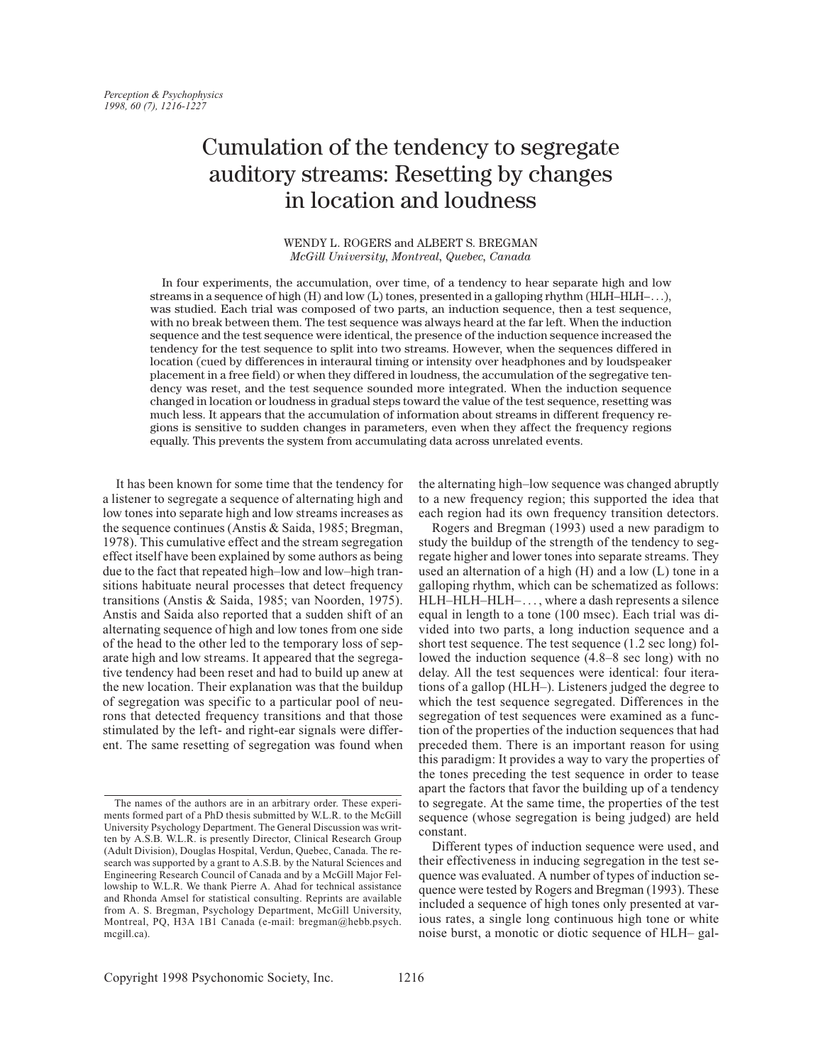# Cumulation of the tendency to segregate auditory streams: Resetting by changes in location and loudness

## WENDY L. ROGERS and ALBERT S. BREGMAN *McGill University, Montreal, Quebec, Canada*

In four experiments, the accumulation, over time, of a tendency to hear separate high and low streams in a sequence of high  $(H)$  and low  $(L)$  tones, presented in a galloping rhythm  $(HLH-HLH-...),$ was studied. Each trial was composed of two parts, an induction sequence, then a test sequence, with no break between them. The test sequence was always heard at the far left. When the induction sequence and the test sequence were identical, the presence of the induction sequence increased the tendency for the test sequence to split into two streams. However, when the sequences differed in location (cued by differences in interaural timing or intensity over headphones and by loudspeaker placement in a free field) or when they differed in loudness, the accumulation of the segregative tendency was reset, and the test sequence sounded more integrated. When the induction sequence changed in location or loudness in gradual steps toward the value of the test sequence, resetting was much less. It appears that the accumulation of information about streams in different frequency regions is sensitive to sudden changes in parameters, even when they affect the frequency regions equally. This prevents the system from accumulating data across unrelated events.

It has been known for some time that the tendency for a listener to segregate a sequence of alternating high and low tones into separate high and low streams increases as the sequence continues (Anstis & Saida, 1985; Bregman, 1978). This cumulative effect and the stream segregation effect itself have been explained by some authors as being due to the fact that repeated high–low and low–high transitions habituate neural processes that detect frequency transitions (Anstis & Saida, 1985; van Noorden, 1975). Anstis and Saida also reported that a sudden shift of an alternating sequence of high and low tones from one side of the head to the other led to the temporary loss of separate high and low streams. It appeared that the segregative tendency had been reset and had to build up anew at the new location. Their explanation was that the buildup of segregation was specific to a particular pool of neurons that detected frequency transitions and that those stimulated by the left- and right-ear signals were different. The same resetting of segregation was found when

the alternating high–low sequence was changed abruptly to a new frequency region; this supported the idea that each region had its own frequency transition detectors.

Rogers and Bregman (1993) used a new paradigm to study the buildup of the strength of the tendency to segregate higher and lower tones into separate streams. They used an alternation of a high (H) and a low (L) tone in a galloping rhythm, which can be schematized as follows: HLH–HLH–HLH–..., where a dash represents a silence equal in length to a tone (100 msec). Each trial was divided into two parts, a long induction sequence and a short test sequence. The test sequence (1.2 sec long) followed the induction sequence (4.8–8 sec long) with no delay. All the test sequences were identical: four iterations of a gallop (HLH–). Listeners judged the degree to which the test sequence segregated. Differences in the segregation of test sequences were examined as a function of the properties of the induction sequences that had preceded them. There is an important reason for using this paradigm: It provides a way to vary the properties of the tones preceding the test sequence in order to tease apart the factors that favor the building up of a tendency to segregate. At the same time, the properties of the test sequence (whose segregation is being judged) are held constant.

Different types of induction sequence were used, and their effectiveness in inducing segregation in the test sequence was evaluated. A number of types of induction sequence were tested by Rogers and Bregman (1993). These included a sequence of high tones only presented at various rates, a single long continuous high tone or white noise burst, a monotic or diotic sequence of HLH– gal-

The names of the authors are in an arbitrary order. These experiments formed part of a PhD thesis submitted by W.L.R. to the McGill University Psychology Department. The General Discussion was written by A.S.B. W.L.R. is presently Director, Clinical Research Group (Adult Division), Douglas Hospital, Verdun, Quebec, Canada. The research was supported by a grant to A.S.B. by the Natural Sciences and Engineering Research Council of Canada and by a McGill Major Fellowship to W.L.R. We thank Pierre A. Ahad for technical assistance and Rhonda Amsel for statistical consulting. Reprints are available from A. S. Bregman, Psychology Department, McGill University, Montreal, PQ, H3A 1B1 Canada (e-mail: bregman@hebb.psych. mcgill.ca).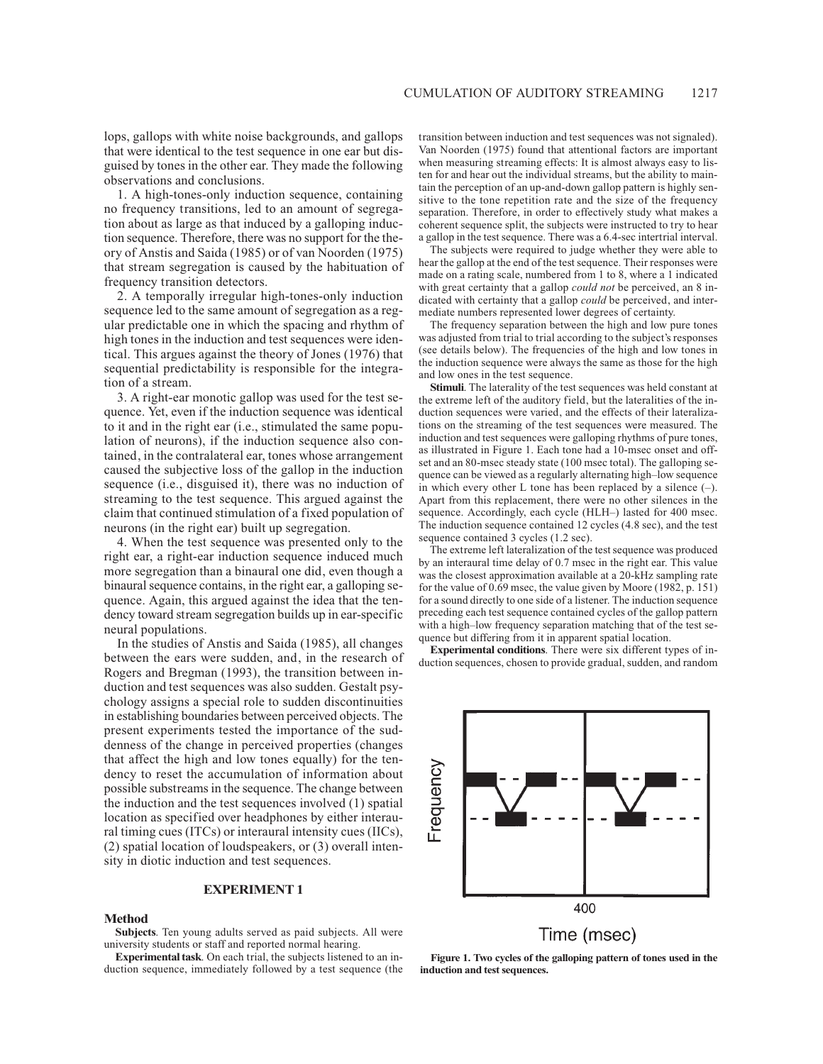lops, gallops with white noise backgrounds, and gallops that were identical to the test sequence in one ear but disguised by tones in the other ear. They made the following observations and conclusions.

1. A high-tones-only induction sequence, containing no frequency transitions, led to an amount of segregation about as large as that induced by a galloping induction sequence. Therefore, there was no support for the theory of Anstis and Saida (1985) or of van Noorden (1975) that stream segregation is caused by the habituation of frequency transition detectors.

2. A temporally irregular high-tones-only induction sequence led to the same amount of segregation as a regular predictable one in which the spacing and rhythm of high tones in the induction and test sequences were identical. This argues against the theory of Jones (1976) that sequential predictability is responsible for the integration of a stream.

3. A right-ear monotic gallop was used for the test sequence. Yet, even if the induction sequence was identical to it and in the right ear (i.e., stimulated the same population of neurons), if the induction sequence also contained, in the contralateral ear, tones whose arrangement caused the subjective loss of the gallop in the induction sequence (i.e., disguised it), there was no induction of streaming to the test sequence. This argued against the claim that continued stimulation of a fixed population of neurons (in the right ear) built up segregation.

4. When the test sequence was presented only to the right ear, a right-ear induction sequence induced much more segregation than a binaural one did, even though a binaural sequence contains, in the right ear, a galloping sequence. Again, this argued against the idea that the tendency toward stream segregation builds up in ear-specific neural populations.

In the studies of Anstis and Saida (1985), all changes between the ears were sudden, and, in the research of Rogers and Bregman (1993), the transition between induction and test sequences was also sudden. Gestalt psychology assigns a special role to sudden discontinuities in establishing boundaries between perceived objects. The present experiments tested the importance of the suddenness of the change in perceived properties (changes that affect the high and low tones equally) for the tendency to reset the accumulation of information about possible substreams in the sequence. The change between the induction and the test sequences involved (1) spatial location as specified over headphones by either interaural timing cues (ITCs) or interaural intensity cues (IICs), (2) spatial location of loudspeakers, or (3) overall intensity in diotic induction and test sequences.

## **EXPERIMENT 1**

## **Method**

**Subjects**. Ten young adults served as paid subjects. All were university students or staff and reported normal hearing.

**Experimental task**. On each trial, the subjects listened to an induction sequence, immediately followed by a test sequence (the

transition between induction and test sequences was not signaled). Van Noorden (1975) found that attentional factors are important when measuring streaming effects: It is almost always easy to listen for and hear out the individual streams, but the ability to maintain the perception of an up-and-down gallop pattern is highly sensitive to the tone repetition rate and the size of the frequency separation. Therefore, in order to effectively study what makes a coherent sequence split, the subjects were instructed to try to hear a gallop in the test sequence. There was a 6.4-sec intertrial interval.

The subjects were required to judge whether they were able to hear the gallop at the end of the test sequence. Their responses were made on a rating scale, numbered from 1 to 8, where a 1 indicated with great certainty that a gallop *could not* be perceived, an 8 indicated with certainty that a gallop *could* be perceived, and intermediate numbers represented lower degrees of certainty.

The frequency separation between the high and low pure tones was adjusted from trial to trial according to the subject's responses (see details below). The frequencies of the high and low tones in the induction sequence were always the same as those for the high and low ones in the test sequence.

**Stimuli**. The laterality of the test sequences was held constant at the extreme left of the auditory field, but the lateralities of the induction sequences were varied, and the effects of their lateralizations on the streaming of the test sequences were measured. The induction and test sequences were galloping rhythms of pure tones, as illustrated in Figure 1. Each tone had a 10-msec onset and offset and an 80-msec steady state (100 msec total). The galloping sequence can be viewed as a regularly alternating high–low sequence in which every other L tone has been replaced by a silence  $(-)$ . Apart from this replacement, there were no other silences in the sequence. Accordingly, each cycle (HLH–) lasted for 400 msec. The induction sequence contained 12 cycles (4.8 sec), and the test sequence contained 3 cycles (1.2 sec).

The extreme left lateralization of the test sequence was produced by an interaural time delay of 0.7 msec in the right ear. This value was the closest approximation available at a 20-kHz sampling rate for the value of 0.69 msec, the value given by Moore (1982, p. 151) for a sound directly to one side of a listener. The induction sequence preceding each test sequence contained cycles of the gallop pattern with a high–low frequency separation matching that of the test sequence but differing from it in apparent spatial location.

**Experimental conditions**. There were six different types of induction sequences, chosen to provide gradual, sudden, and random



**Figure 1. Two cycles of the galloping pattern of tones used in the induction and test sequences.**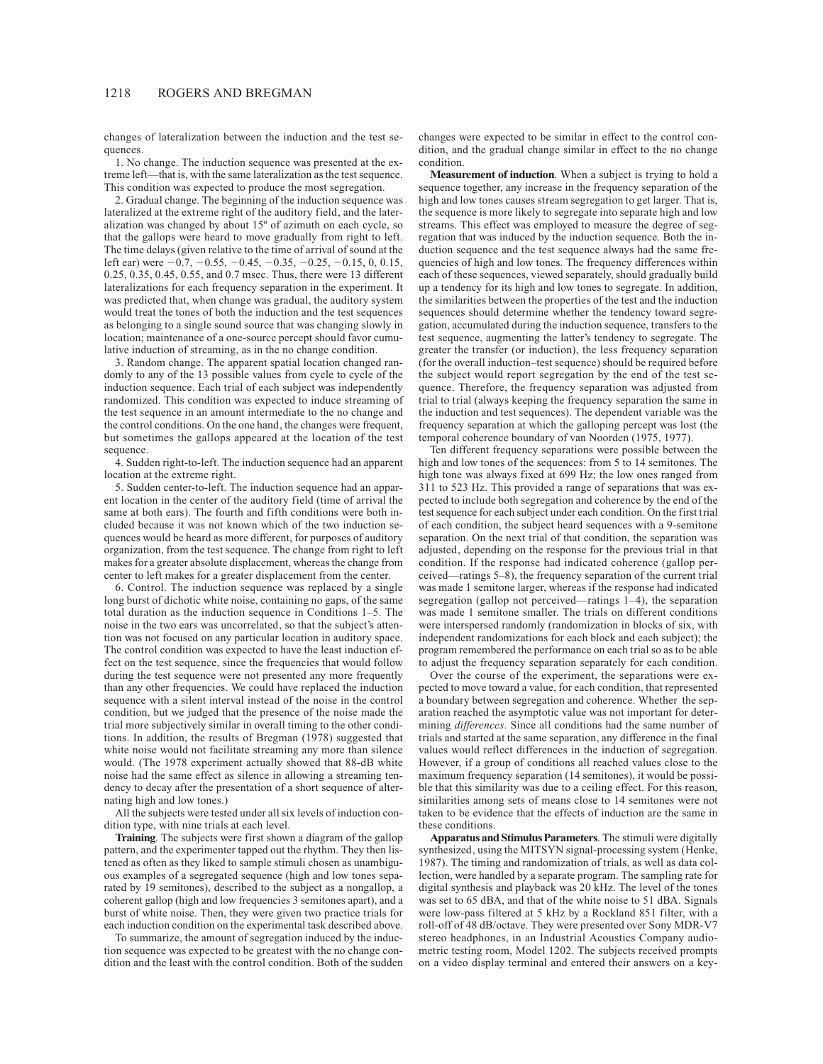changes of lateralization between the induction and the test sequences.

1. No change. The induction sequence was presented at the extreme left—that is, with the same lateralization as the test sequence. This condition was expected to produce the most segregation.

2. Gradual change. The beginning of the induction sequence was lateralized at the extreme right of the auditory field, and the lateralization was changed by about 15º of azimuth on each cycle, so that the gallops were heard to move gradually from right to left. The time delays (given relative to the time of arrival of sound at the left ear) were  $-0.7, -0.55, -0.45, -0.35, -0.25, -0.15, 0, 0.15,$ 0.25, 0.35, 0.45, 0.55, and 0.7 msec. Thus, there were 13 different lateralizations for each frequency separation in the experiment. It was predicted that, when change was gradual, the auditory system would treat the tones of both the induction and the test sequences as belonging to a single sound source that was changing slowly in location; maintenance of a one-source percept should favor cumulative induction of streaming, as in the no change condition.

3. Random change. The apparent spatial location changed randomly to any of the 13 possible values from cycle to cycle of the induction sequence. Each trial of each subject was independently randomized. This condition was expected to induce streaming of the test sequence in an amount intermediate to the no change and the control conditions. On the one hand, the changes were frequent, but sometimes the gallops appeared at the location of the test sequence.

4. Sudden right-to-left. The induction sequence had an apparent location at the extreme right.

5. Sudden center-to-left. The induction sequence had an apparent location in the center of the auditory field (time of arrival the same at both ears). The fourth and fifth conditions were both included because it was not known which of the two induction sequences would be heard as more different, for purposes of auditory organization, from the test sequence. The change from right to left makes for a greater absolute displacement, whereas the change from center to left makes for a greater displacement from the center.

6. Control. The induction sequence was replaced by a single long burst of dichotic white noise, containing no gaps, of the same total duration as the induction sequence in Conditions 1–5. The noise in the two ears was uncorrelated, so that the subject's attention was not focused on any particular location in auditory space. The control condition was expected to have the least induction effect on the test sequence, since the frequencies that would follow during the test sequence were not presented any more frequently than any other frequencies. We could have replaced the induction sequence with a silent interval instead of the noise in the control condition, but we judged that the presence of the noise made the trial more subjectively similar in overall timing to the other conditions. In addition, the results of Bregman (1978) suggested that white noise would not facilitate streaming any more than silence would. (The 1978 experiment actually showed that 88-dB white noise had the same effect as silence in allowing a streaming tendency to decay after the presentation of a short sequence of alternating high and low tones.)

All the subjects were tested under all six levels of induction condition type, with nine trials at each level.

**Training**. The subjects were first shown a diagram of the gallop pattern, and the experimenter tapped out the rhythm. They then listened as often as they liked to sample stimuli chosen as unambiguous examples of a segregated sequence (high and low tones separated by 19 semitones), described to the subject as a nongallop, a coherent gallop (high and low frequencies 3 semitones apart), and a burst of white noise. Then, they were given two practice trials for each induction condition on the experimental task described above.

To summarize, the amount of segregation induced by the induction sequence was expected to be greatest with the no change condition and the least with the control condition. Both of the sudden

changes were expected to be similar in effect to the control condition, and the gradual change similar in effect to the no change condition.

**Measurement of induction**. When a subject is trying to hold a sequence together, any increase in the frequency separation of the high and low tones causes stream segregation to get larger. That is, the sequence is more likely to segregate into separate high and low streams. This effect was employed to measure the degree of segregation that was induced by the induction sequence. Both the induction sequence and the test sequence always had the same frequencies of high and low tones. The frequency differences within each of these sequences, viewed separately, should gradually build up a tendency for its high and low tones to segregate. In addition, the similarities between the properties of the test and the induction sequences should determine whether the tendency toward segregation, accumulated during the induction sequence, transfers to the test sequence, augmenting the latter's tendency to segregate. The greater the transfer (or induction), the less frequency separation (for the overall induction–test sequence) should be required before the subject would report segregation by the end of the test sequence. Therefore, the frequency separation was adjusted from trial to trial (always keeping the frequency separation the same in the induction and test sequences). The dependent variable was the frequency separation at which the galloping percept was lost (the temporal coherence boundary of van Noorden (1975, 1977).

Ten different frequency separations were possible between the high and low tones of the sequences: from 5 to 14 semitones. The high tone was always fixed at 699 Hz; the low ones ranged from 311 to 523 Hz. This provided a range of separations that was expected to include both segregation and coherence by the end of the test sequence for each subject under each condition. On the first trial of each condition, the subject heard sequences with a 9-semitone separation. On the next trial of that condition, the separation was adjusted, depending on the response for the previous trial in that condition. If the response had indicated coherence (gallop perceived—ratings 5–8), the frequency separation of the current trial was made 1 semitone larger, whereas if the response had indicated segregation (gallop not perceived—ratings 1–4), the separation was made 1 semitone smaller. The trials on different conditions were interspersed randomly (randomization in blocks of six, with independent randomizations for each block and each subject); the program remembered the performance on each trial so as to be able to adjust the frequency separation separately for each condition.

Over the course of the experiment, the separations were expected to move toward a value, for each condition, that represented a boundary between segregation and coherence. Whether the separation reached the asymptotic value was not important for determining *differences*. Since all conditions had the same number of trials and started at the same separation, any difference in the final values would reflect differences in the induction of segregation. However, if a group of conditions all reached values close to the maximum frequency separation (14 semitones), it would be possible that this similarity was due to a ceiling effect. For this reason, similarities among sets of means close to 14 semitones were not taken to be evidence that the effects of induction are the same in these conditions.

**Apparatus and Stimulus Parameters**. The stimuli were digitally synthesized, using the MITSYN signal-processing system (Henke, 1987). The timing and randomization of trials, as well as data collection, were handled by a separate program. The sampling rate for digital synthesis and playback was 20 kHz. The level of the tones was set to 65 dBA, and that of the white noise to 51 dBA. Signals were low-pass filtered at 5 kHz by a Rockland 851 filter, with a roll-off of 48 dB/octave. They were presented over Sony MDR-V7 stereo headphones, in an Industrial Acoustics Company audiometric testing room, Model 1202. The subjects received prompts on a video display terminal and entered their answers on a key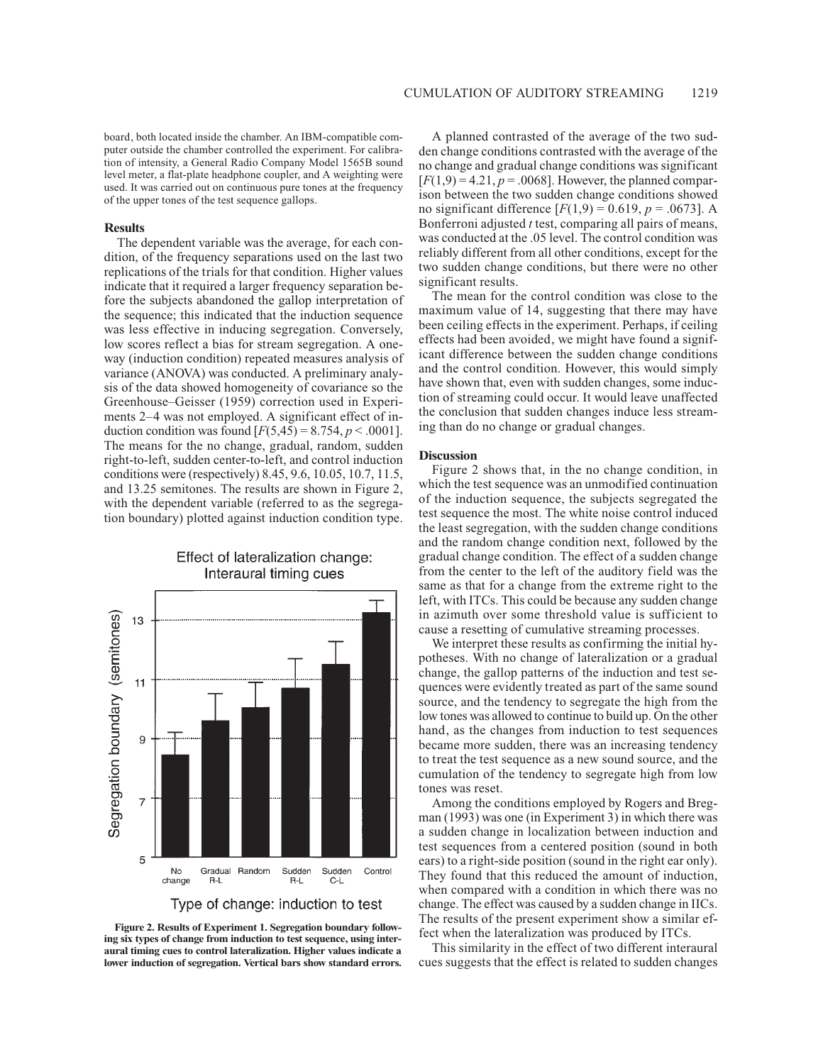board, both located inside the chamber. An IBM-compatible computer outside the chamber controlled the experiment. For calibration of intensity, a General Radio Company Model 1565B sound level meter, a flat-plate headphone coupler, and A weighting were used. It was carried out on continuous pure tones at the frequency of the upper tones of the test sequence gallops.

#### **Results**

The dependent variable was the average, for each condition, of the frequency separations used on the last two replications of the trials for that condition. Higher values indicate that it required a larger frequency separation before the subjects abandoned the gallop interpretation of the sequence; this indicated that the induction sequence was less effective in inducing segregation. Conversely, low scores reflect a bias for stream segregation. A oneway (induction condition) repeated measures analysis of variance (ANOVA) was conducted. A preliminary analysis of the data showed homogeneity of covariance so the Greenhouse–Geisser (1959) correction used in Experiments 2–4 was not employed. A significant effect of induction condition was found  $[F(5,45) = 8.754, p < .0001]$ . The means for the no change, gradual, random, sudden right-to-left, sudden center-to-left, and control induction conditions were (respectively) 8.45, 9.6, 10.05, 10.7, 11.5, and 13.25 semitones. The results are shown in Figure 2, with the dependent variable (referred to as the segregation boundary) plotted against induction condition type.



# Effect of lateralization change: Interaural timing cues

**Figure 2. Results of Experiment 1. Segregation boundary following six types of change from induction to test sequence, using interaural timing cues to control lateralization. Higher values indicate a lower induction of segregation. Vertical bars show standard errors.**

A planned contrasted of the average of the two sudden change conditions contrasted with the average of the no change and gradual change conditions was significant  $[F(1,9) = 4.21, p = .0068]$ . However, the planned comparison between the two sudden change conditions showed no significant difference  $[F(1,9) = 0.619, p = .0673]$ . A Bonferroni adjusted *t* test, comparing all pairs of means, was conducted at the .05 level. The control condition was reliably different from all other conditions, except for the two sudden change conditions, but there were no other significant results.

The mean for the control condition was close to the maximum value of 14, suggesting that there may have been ceiling effects in the experiment. Perhaps, if ceiling effects had been avoided, we might have found a significant difference between the sudden change conditions and the control condition. However, this would simply have shown that, even with sudden changes, some induction of streaming could occur. It would leave unaffected the conclusion that sudden changes induce less streaming than do no change or gradual changes.

## **Discussion**

Figure 2 shows that, in the no change condition, in which the test sequence was an unmodified continuation of the induction sequence, the subjects segregated the test sequence the most. The white noise control induced the least segregation, with the sudden change conditions and the random change condition next, followed by the gradual change condition. The effect of a sudden change from the center to the left of the auditory field was the same as that for a change from the extreme right to the left, with ITCs. This could be because any sudden change in azimuth over some threshold value is sufficient to cause a resetting of cumulative streaming processes.

We interpret these results as confirming the initial hypotheses. With no change of lateralization or a gradual change, the gallop patterns of the induction and test sequences were evidently treated as part of the same sound source, and the tendency to segregate the high from the low tones was allowed to continue to build up. On the other hand, as the changes from induction to test sequences became more sudden, there was an increasing tendency to treat the test sequence as a new sound source, and the cumulation of the tendency to segregate high from low tones was reset.

Among the conditions employed by Rogers and Bregman (1993) was one (in Experiment 3) in which there was a sudden change in localization between induction and test sequences from a centered position (sound in both ears) to a right-side position (sound in the right ear only). They found that this reduced the amount of induction, when compared with a condition in which there was no change. The effect was caused by a sudden change in IICs. The results of the present experiment show a similar effect when the lateralization was produced by ITCs.

This similarity in the effect of two different interaural cues suggests that the effect is related to sudden changes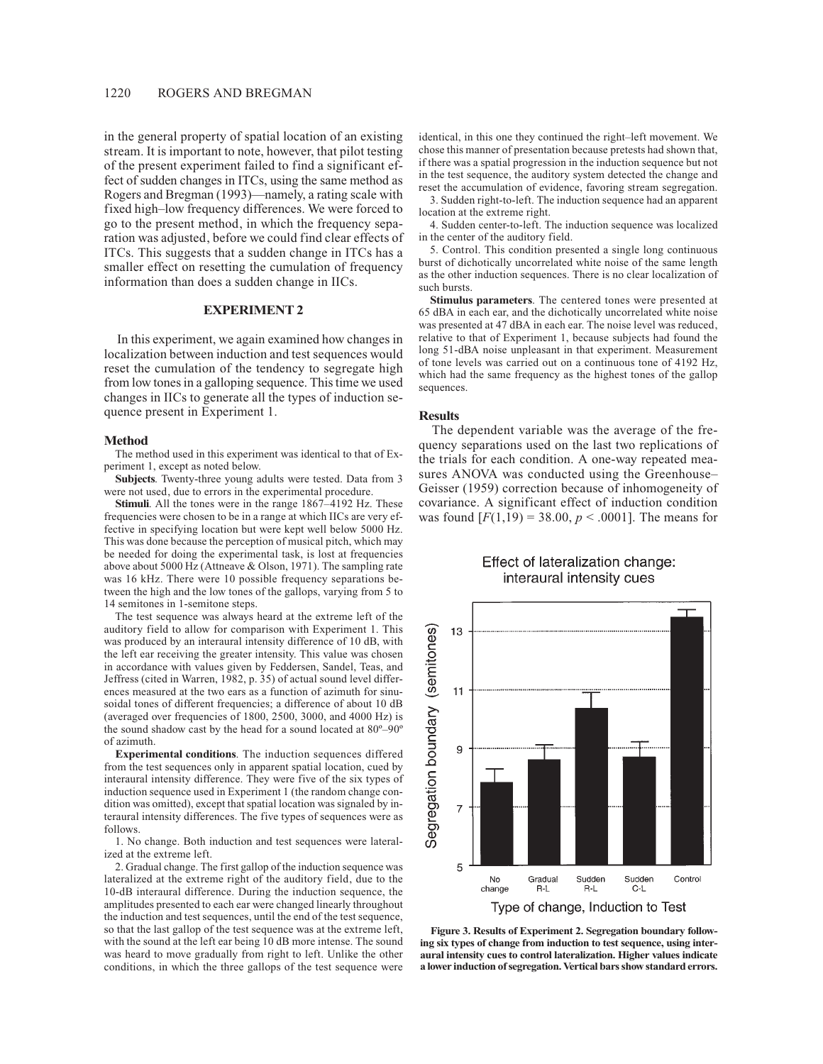# 1220 ROGERS AND BREGMAN

in the general property of spatial location of an existing stream. It is important to note, however, that pilot testing of the present experiment failed to find a significant effect of sudden changes in ITCs, using the same method as Rogers and Bregman (1993)—namely, a rating scale with fixed high–low frequency differences. We were forced to go to the present method, in which the frequency separation was adjusted, before we could find clear effects of ITCs. This suggests that a sudden change in ITCs has a smaller effect on resetting the cumulation of frequency information than does a sudden change in IICs.

# **EXPERIMENT 2**

In this experiment, we again examined how changes in localization between induction and test sequences would reset the cumulation of the tendency to segregate high from low tones in a galloping sequence. This time we used changes in IICs to generate all the types of induction sequence present in Experiment 1.

## **Method**

The method used in this experiment was identical to that of Experiment 1, except as noted below.

**Subjects**. Twenty-three young adults were tested. Data from 3 were not used, due to errors in the experimental procedure.

**Stimuli**. All the tones were in the range 1867–4192 Hz. These frequencies were chosen to be in a range at which IICs are very effective in specifying location but were kept well below 5000 Hz. This was done because the perception of musical pitch, which may be needed for doing the experimental task, is lost at frequencies above about 5000 Hz (Attneave & Olson, 1971). The sampling rate was 16 kHz. There were 10 possible frequency separations between the high and the low tones of the gallops, varying from 5 to 14 semitones in 1-semitone steps.

The test sequence was always heard at the extreme left of the auditory field to allow for comparison with Experiment 1. This was produced by an interaural intensity difference of 10 dB, with the left ear receiving the greater intensity. This value was chosen in accordance with values given by Feddersen, Sandel, Teas, and Jeffress (cited in Warren, 1982, p. 35) of actual sound level differences measured at the two ears as a function of azimuth for sinusoidal tones of different frequencies; a difference of about 10 dB (averaged over frequencies of 1800, 2500, 3000, and 4000 Hz) is the sound shadow cast by the head for a sound located at 80º–90º of azimuth.

**Experimental conditions**. The induction sequences differed from the test sequences only in apparent spatial location, cued by interaural intensity difference. They were five of the six types of induction sequence used in Experiment 1 (the random change condition was omitted), except that spatial location was signaled by interaural intensity differences. The five types of sequences were as follows.

1. No change. Both induction and test sequences were lateralized at the extreme left.

2. Gradual change. The first gallop of the induction sequence was lateralized at the extreme right of the auditory field, due to the 10-dB interaural difference. During the induction sequence, the amplitudes presented to each ear were changed linearly throughout the induction and test sequences, until the end of the test sequence, so that the last gallop of the test sequence was at the extreme left, with the sound at the left ear being 10 dB more intense. The sound was heard to move gradually from right to left. Unlike the other conditions, in which the three gallops of the test sequence were

identical, in this one they continued the right–left movement. We chose this manner of presentation because pretests had shown that, if there was a spatial progression in the induction sequence but not in the test sequence, the auditory system detected the change and reset the accumulation of evidence, favoring stream segregation.

3. Sudden right-to-left. The induction sequence had an apparent location at the extreme right.

4. Sudden center-to-left. The induction sequence was localized in the center of the auditory field.

5. Control. This condition presented a single long continuous burst of dichotically uncorrelated white noise of the same length as the other induction sequences. There is no clear localization of such bursts.

**Stimulus parameters**. The centered tones were presented at 65 dBA in each ear, and the dichotically uncorrelated white noise was presented at 47 dBA in each ear. The noise level was reduced, relative to that of Experiment 1, because subjects had found the long 51-dBA noise unpleasant in that experiment. Measurement of tone levels was carried out on a continuous tone of 4192 Hz, which had the same frequency as the highest tones of the gallop sequences.

#### **Results**

The dependent variable was the average of the frequency separations used on the last two replications of the trials for each condition. A one-way repeated measures ANOVA was conducted using the Greenhouse– Geisser (1959) correction because of inhomogeneity of covariance. A significant effect of induction condition was found  $[F(1,19) = 38.00, p < .0001]$ . The means for

# Effect of lateralization change: interaural intensity cues



**Figure 3. Results of Experiment 2. Segregation boundary following six types of change from induction to test sequence, using interaural intensity cues to control lateralization. Higher values indicate a lower induction of segregation. Vertical bars show standard errors.**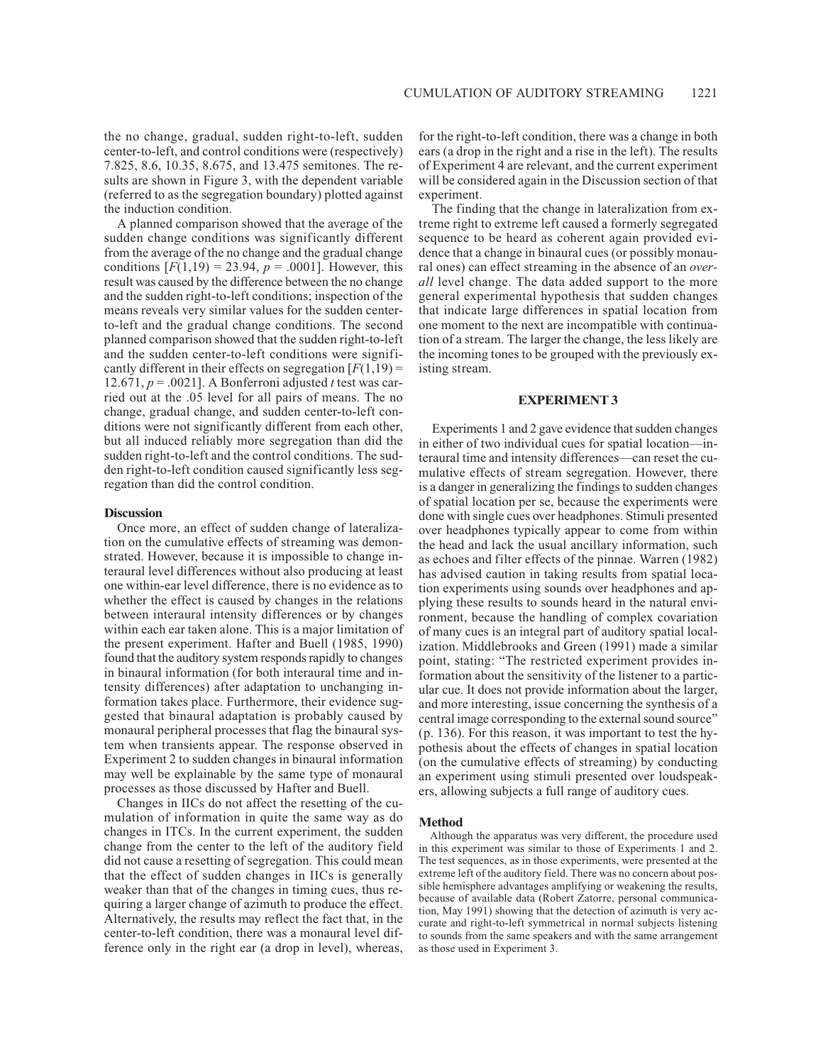the no change, gradual, sudden right-to-left, sudden center-to-left, and control conditions were (respectively) 7.825, 8.6, 10.35, 8.675, and 13.475 semitones. The results are shown in Figure 3, with the dependent variable (referred to as the segregation boundary) plotted against the induction condition.

A planned comparison showed that the average of the sudden change conditions was significantly different from the average of the no change and the gradual change conditions  $[F(1,19) = 23.94, p = .0001]$ . However, this result was caused by the difference between the no change and the sudden right-to-left conditions; inspection of the means reveals very similar values for the sudden centerto-left and the gradual change conditions. The second planned comparison showed that the sudden right-to-left and the sudden center-to-left conditions were significantly different in their effects on segregation  $[F(1,19) =$ 12.671,  $p = .0021$ ]. A Bonferroni adjusted *t* test was carried out at the .05 level for all pairs of means. The no change, gradual change, and sudden center-to-left conditions were not significantly different from each other, but all induced reliably more segregation than did the sudden right-to-left and the control conditions. The sudden right-to-left condition caused significantly less segregation than did the control condition.

#### **Discussion**

Once more, an effect of sudden change of lateralization on the cumulative effects of streaming was demonstrated. However, because it is impossible to change interaural level differences without also producing at least one within-ear level difference, there is no evidence as to whether the effect is caused by changes in the relations between interaural intensity differences or by changes within each ear taken alone. This is a major limitation of the present experiment. Hafter and Buell (1985, 1990) found that the auditory system responds rapidly to changes in binaural information (for both interaural time and intensity differences) after adaptation to unchanging information takes place. Furthermore, their evidence suggested that binaural adaptation is probably caused by monaural peripheral processes that flag the binaural system when transients appear. The response observed in Experiment 2 to sudden changes in binaural information may well be explainable by the same type of monaural processes as those discussed by Hafter and Buell.

Changes in IICs do not affect the resetting of the cumulation of information in quite the same way as do changes in ITCs. In the current experiment, the sudden change from the center to the left of the auditory field did not cause a resetting of segregation. This could mean that the effect of sudden changes in IICs is generally weaker than that of the changes in timing cues, thus requiring a larger change of azimuth to produce the effect. Alternatively, the results may reflect the fact that, in the center-to-left condition, there was a monaural level difference only in the right ear (a drop in level), whereas,

for the right-to-left condition, there was a change in both ears (a drop in the right and a rise in the left). The results of Experiment 4 are relevant, and the current experiment will be considered again in the Discussion section of that experiment.

The finding that the change in lateralization from extreme right to extreme left caused a formerly segregated sequence to be heard as coherent again provided evidence that a change in binaural cues (or possibly monaural ones) can effect streaming in the absence of an *overall* level change. The data added support to the more general experimental hypothesis that sudden changes that indicate large differences in spatial location from one moment to the next are incompatible with continuation of a stream. The larger the change, the less likely are the incoming tones to be grouped with the previously existing stream.

# **EXPERIMENT 3**

Experiments 1 and 2 gave evidence that sudden changes in either of two individual cues for spatial location—interaural time and intensity differences—can reset the cumulative effects of stream segregation. However, there is a danger in generalizing the findings to sudden changes of spatial location per se, because the experiments were done with single cues over headphones. Stimuli presented over headphones typically appear to come from within the head and lack the usual ancillary information, such as echoes and filter effects of the pinnae. Warren (1982) has advised caution in taking results from spatial location experiments using sounds over headphones and applying these results to sounds heard in the natural environment, because the handling of complex covariation of many cues is an integral part of auditory spatial localization. Middlebrooks and Green (1991) made a similar point, stating: "The restricted experiment provides information about the sensitivity of the listener to a particular cue. It does not provide information about the larger, and more interesting, issue concerning the synthesis of a central image corresponding to the external sound source" (p. 136). For this reason, it was important to test the hypothesis about the effects of changes in spatial location (on the cumulative effects of streaming) by conducting an experiment using stimuli presented over loudspeakers, allowing subjects a full range of auditory cues.

#### **Method**

Although the apparatus was very different, the procedure used in this experiment was similar to those of Experiments 1 and 2. The test sequences, as in those experiments, were presented at the extreme left of the auditory field. There was no concern about possible hemisphere advantages amplifying or weakening the results, because of available data (Robert Zatorre, personal communication, May 1991) showing that the detection of azimuth is very accurate and right-to-left symmetrical in normal subjects listening to sounds from the same speakers and with the same arrangement as those used in Experiment 3.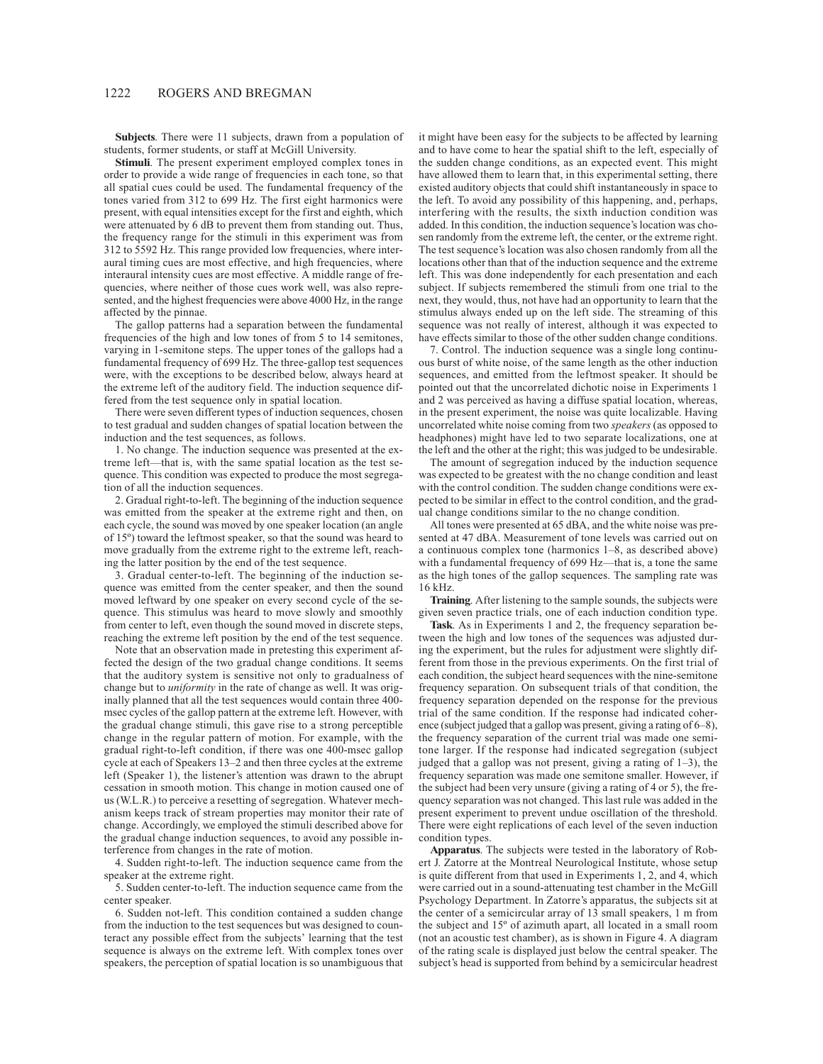# 1222 ROGERS AND BREGMAN

**Subjects**. There were 11 subjects, drawn from a population of students, former students, or staff at McGill University.

**Stimuli**. The present experiment employed complex tones in order to provide a wide range of frequencies in each tone, so that all spatial cues could be used. The fundamental frequency of the tones varied from 312 to 699 Hz. The first eight harmonics were present, with equal intensities except for the first and eighth, which were attenuated by 6 dB to prevent them from standing out. Thus, the frequency range for the stimuli in this experiment was from 312 to 5592 Hz. This range provided low frequencies, where interaural timing cues are most effective, and high frequencies, where interaural intensity cues are most effective. A middle range of frequencies, where neither of those cues work well, was also represented, and the highest frequencies were above 4000 Hz, in the range affected by the pinnae.

The gallop patterns had a separation between the fundamental frequencies of the high and low tones of from 5 to 14 semitones, varying in 1-semitone steps. The upper tones of the gallops had a fundamental frequency of 699 Hz. The three-gallop test sequences were, with the exceptions to be described below, always heard at the extreme left of the auditory field. The induction sequence differed from the test sequence only in spatial location.

There were seven different types of induction sequences, chosen to test gradual and sudden changes of spatial location between the induction and the test sequences, as follows.

1. No change. The induction sequence was presented at the extreme left—that is, with the same spatial location as the test sequence. This condition was expected to produce the most segregation of all the induction sequences.

2. Gradual right-to-left. The beginning of the induction sequence was emitted from the speaker at the extreme right and then, on each cycle, the sound was moved by one speaker location (an angle of 15º) toward the leftmost speaker, so that the sound was heard to move gradually from the extreme right to the extreme left, reaching the latter position by the end of the test sequence.

3. Gradual center-to-left. The beginning of the induction sequence was emitted from the center speaker, and then the sound moved leftward by one speaker on every second cycle of the sequence. This stimulus was heard to move slowly and smoothly from center to left, even though the sound moved in discrete steps, reaching the extreme left position by the end of the test sequence.

Note that an observation made in pretesting this experiment affected the design of the two gradual change conditions. It seems that the auditory system is sensitive not only to gradualness of change but to *uniformity* in the rate of change as well. It was originally planned that all the test sequences would contain three 400 msec cycles of the gallop pattern at the extreme left. However, with the gradual change stimuli, this gave rise to a strong perceptible change in the regular pattern of motion. For example, with the gradual right-to-left condition, if there was one 400-msec gallop cycle at each of Speakers 13–2 and then three cycles at the extreme left (Speaker 1), the listener's attention was drawn to the abrupt cessation in smooth motion. This change in motion caused one of us (W.L.R.) to perceive a resetting of segregation. Whatever mechanism keeps track of stream properties may monitor their rate of change. Accordingly, we employed the stimuli described above for the gradual change induction sequences, to avoid any possible interference from changes in the rate of motion.

4. Sudden right-to-left. The induction sequence came from the speaker at the extreme right.

5. Sudden center-to-left. The induction sequence came from the center speaker.

6. Sudden not-left. This condition contained a sudden change from the induction to the test sequences but was designed to counteract any possible effect from the subjects' learning that the test sequence is always on the extreme left. With complex tones over speakers, the perception of spatial location is so unambiguous that it might have been easy for the subjects to be affected by learning and to have come to hear the spatial shift to the left, especially of the sudden change conditions, as an expected event. This might have allowed them to learn that, in this experimental setting, there existed auditory objects that could shift instantaneously in space to the left. To avoid any possibility of this happening, and, perhaps, interfering with the results, the sixth induction condition was added. In this condition, the induction sequence's location was chosen randomly from the extreme left, the center, or the extreme right. The test sequence's location was also chosen randomly from all the locations other than that of the induction sequence and the extreme left. This was done independently for each presentation and each subject. If subjects remembered the stimuli from one trial to the next, they would, thus, not have had an opportunity to learn that the stimulus always ended up on the left side. The streaming of this sequence was not really of interest, although it was expected to have effects similar to those of the other sudden change conditions.

7. Control. The induction sequence was a single long continuous burst of white noise, of the same length as the other induction sequences, and emitted from the leftmost speaker. It should be pointed out that the uncorrelated dichotic noise in Experiments 1 and 2 was perceived as having a diffuse spatial location, whereas, in the present experiment, the noise was quite localizable. Having uncorrelated white noise coming from two *speakers* (as opposed to headphones) might have led to two separate localizations, one at the left and the other at the right; this was judged to be undesirable.

The amount of segregation induced by the induction sequence was expected to be greatest with the no change condition and least with the control condition. The sudden change conditions were expected to be similar in effect to the control condition, and the gradual change conditions similar to the no change condition.

All tones were presented at 65 dBA, and the white noise was presented at 47 dBA. Measurement of tone levels was carried out on a continuous complex tone (harmonics 1–8, as described above) with a fundamental frequency of 699 Hz—that is, a tone the same as the high tones of the gallop sequences. The sampling rate was 16 kHz.

**Training**. After listening to the sample sounds, the subjects were given seven practice trials, one of each induction condition type.

**Task**. As in Experiments 1 and 2, the frequency separation between the high and low tones of the sequences was adjusted during the experiment, but the rules for adjustment were slightly different from those in the previous experiments. On the first trial of each condition, the subject heard sequences with the nine-semitone frequency separation. On subsequent trials of that condition, the frequency separation depended on the response for the previous trial of the same condition. If the response had indicated coherence (subject judged that a gallop was present, giving a rating of 6–8), the frequency separation of the current trial was made one semitone larger. If the response had indicated segregation (subject judged that a gallop was not present, giving a rating of 1–3), the frequency separation was made one semitone smaller. However, if the subject had been very unsure (giving a rating of 4 or 5), the frequency separation was not changed. This last rule was added in the present experiment to prevent undue oscillation of the threshold. There were eight replications of each level of the seven induction condition types.

**Apparatus**. The subjects were tested in the laboratory of Robert J. Zatorre at the Montreal Neurological Institute, whose setup is quite different from that used in Experiments 1, 2, and 4, which were carried out in a sound-attenuating test chamber in the McGill Psychology Department. In Zatorre's apparatus, the subjects sit at the center of a semicircular array of 13 small speakers, 1 m from the subject and 15º of azimuth apart, all located in a small room (not an acoustic test chamber), as is shown in Figure 4. A diagram of the rating scale is displayed just below the central speaker. The subject's head is supported from behind by a semicircular headrest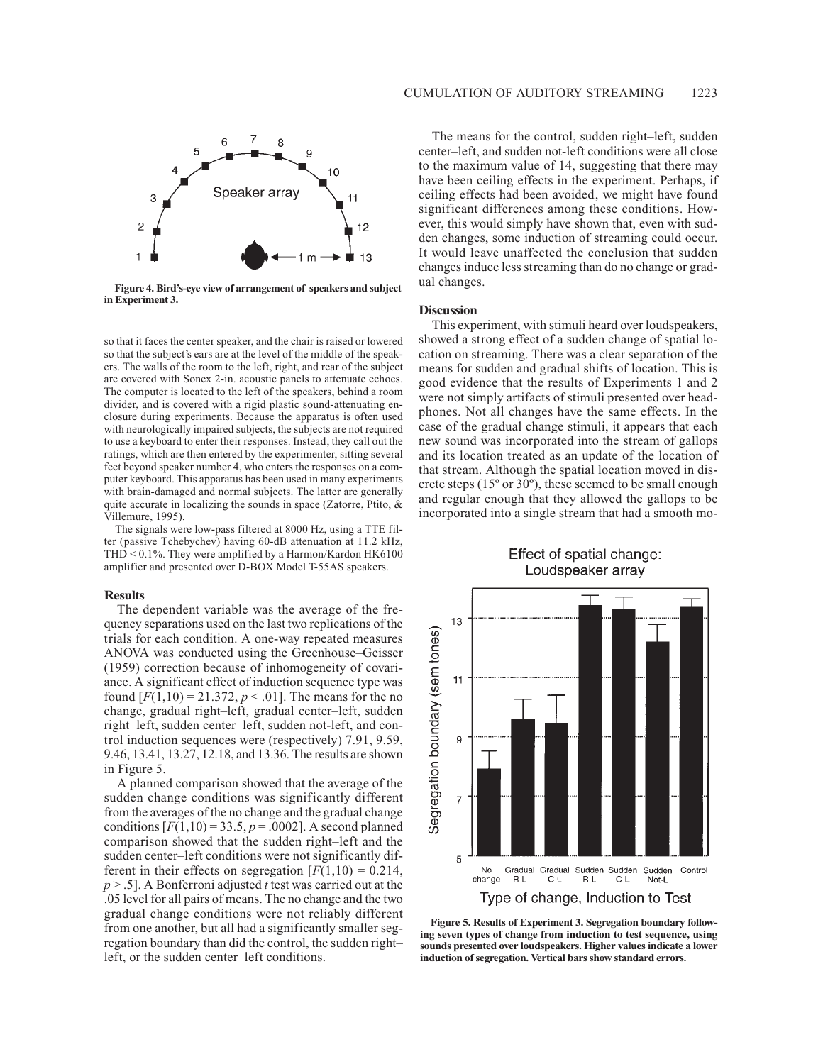

**Figure 4. Bird's-eye view of arrangement of speakers and subject in Experiment 3.**

so that it faces the center speaker, and the chair is raised or lowered so that the subject's ears are at the level of the middle of the speakers. The walls of the room to the left, right, and rear of the subject are covered with Sonex 2-in. acoustic panels to attenuate echoes. The computer is located to the left of the speakers, behind a room divider, and is covered with a rigid plastic sound-attenuating enclosure during experiments. Because the apparatus is often used with neurologically impaired subjects, the subjects are not required to use a keyboard to enter their responses. Instead, they call out the ratings, which are then entered by the experimenter, sitting several feet beyond speaker number 4, who enters the responses on a computer keyboard. This apparatus has been used in many experiments with brain-damaged and normal subjects. The latter are generally quite accurate in localizing the sounds in space (Zatorre, Ptito, & Villemure, 1995).

The signals were low-pass filtered at 8000 Hz, using a TTE filter (passive Tchebychev) having 60-dB attenuation at 11.2 kHz, THD < 0.1%. They were amplified by a Harmon/Kardon HK6100 amplifier and presented over D-BOX Model T-55AS speakers.

#### **Results**

The dependent variable was the average of the frequency separations used on the last two replications of the trials for each condition. A one-way repeated measures ANOVA was conducted using the Greenhouse–Geisser (1959) correction because of inhomogeneity of covariance. A significant effect of induction sequence type was found  $[F(1,10) = 21.372, p < .01]$ . The means for the no change, gradual right–left, gradual center–left, sudden right–left, sudden center–left, sudden not-left, and control induction sequences were (respectively) 7.91, 9.59, 9.46, 13.41, 13.27, 12.18, and 13.36. The results are shown in Figure 5.

A planned comparison showed that the average of the sudden change conditions was significantly different from the averages of the no change and the gradual change conditions  $[F(1,10) = 33.5, p = .0002]$ . A second planned comparison showed that the sudden right–left and the sudden center–left conditions were not significantly different in their effects on segregation  $[F(1,10) = 0.214]$ , *p* > .5]. A Bonferroni adjusted *t* test was carried out at the .05 level for all pairs of means. The no change and the two gradual change conditions were not reliably different from one another, but all had a significantly smaller segregation boundary than did the control, the sudden right– left, or the sudden center–left conditions.

The means for the control, sudden right–left, sudden center–left, and sudden not-left conditions were all close to the maximum value of 14, suggesting that there may have been ceiling effects in the experiment. Perhaps, if ceiling effects had been avoided, we might have found significant differences among these conditions. However, this would simply have shown that, even with sudden changes, some induction of streaming could occur. It would leave unaffected the conclusion that sudden changes induce less streaming than do no change or gradual changes.

## **Discussion**

This experiment, with stimuli heard over loudspeakers, showed a strong effect of a sudden change of spatial location on streaming. There was a clear separation of the means for sudden and gradual shifts of location. This is good evidence that the results of Experiments 1 and 2 were not simply artifacts of stimuli presented over headphones. Not all changes have the same effects. In the case of the gradual change stimuli, it appears that each new sound was incorporated into the stream of gallops and its location treated as an update of the location of that stream. Although the spatial location moved in discrete steps (15º or 30º), these seemed to be small enough and regular enough that they allowed the gallops to be incorporated into a single stream that had a smooth mo-





**Figure 5. Results of Experiment 3. Segregation boundary following seven types of change from induction to test sequence, using sounds presented over loudspeakers. Higher values indicate a lower induction of segregation. Vertical bars show standard errors.**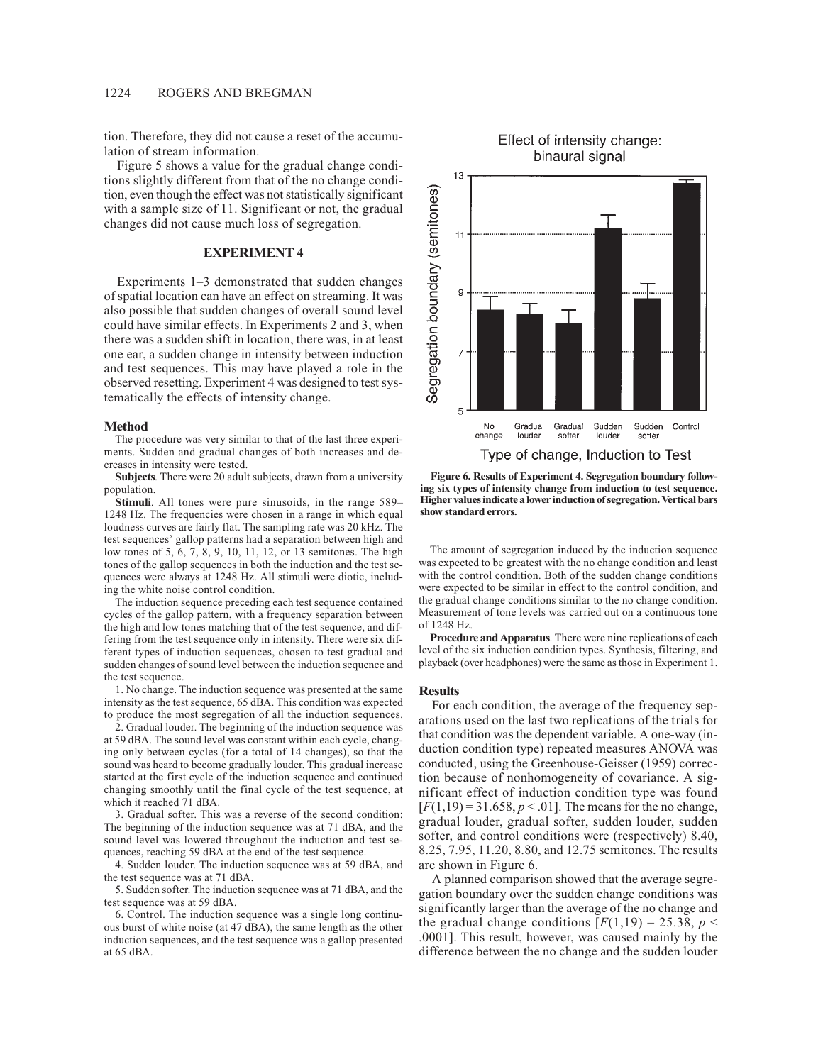# 1224 ROGERS AND BREGMAN

tion. Therefore, they did not cause a reset of the accumulation of stream information.

Figure 5 shows a value for the gradual change conditions slightly different from that of the no change condition, even though the effect was not statistically significant with a sample size of 11. Significant or not, the gradual changes did not cause much loss of segregation.

# **EXPERIMENT 4**

Experiments 1–3 demonstrated that sudden changes of spatial location can have an effect on streaming. It was also possible that sudden changes of overall sound level could have similar effects. In Experiments 2 and 3, when there was a sudden shift in location, there was, in at least one ear, a sudden change in intensity between induction and test sequences. This may have played a role in the observed resetting. Experiment 4 was designed to test systematically the effects of intensity change.

#### **Method**

The procedure was very similar to that of the last three experiments. Sudden and gradual changes of both increases and decreases in intensity were tested.

**Subjects**. There were 20 adult subjects, drawn from a university population.

**Stimuli**. All tones were pure sinusoids, in the range 589– 1248 Hz. The frequencies were chosen in a range in which equal loudness curves are fairly flat. The sampling rate was 20 kHz. The test sequences' gallop patterns had a separation between high and low tones of 5, 6, 7, 8, 9, 10, 11, 12, or 13 semitones. The high tones of the gallop sequences in both the induction and the test sequences were always at 1248 Hz. All stimuli were diotic, including the white noise control condition.

The induction sequence preceding each test sequence contained cycles of the gallop pattern, with a frequency separation between the high and low tones matching that of the test sequence, and differing from the test sequence only in intensity. There were six different types of induction sequences, chosen to test gradual and sudden changes of sound level between the induction sequence and the test sequence.

1. No change. The induction sequence was presented at the same intensity as the test sequence, 65 dBA. This condition was expected to produce the most segregation of all the induction sequences.

2. Gradual louder. The beginning of the induction sequence was at 59 dBA. The sound level was constant within each cycle, changing only between cycles (for a total of 14 changes), so that the sound was heard to become gradually louder. This gradual increase started at the first cycle of the induction sequence and continued changing smoothly until the final cycle of the test sequence, at which it reached 71 dBA.

3. Gradual softer. This was a reverse of the second condition: The beginning of the induction sequence was at 71 dBA, and the sound level was lowered throughout the induction and test sequences, reaching 59 dBA at the end of the test sequence.

4. Sudden louder. The induction sequence was at 59 dBA, and the test sequence was at 71 dBA.

5. Sudden softer. The induction sequence was at 71 dBA, and the test sequence was at 59 dBA.

6. Control. The induction sequence was a single long continuous burst of white noise (at 47 dBA), the same length as the other induction sequences, and the test sequence was a gallop presented at 65 dBA.



**Figure 6. Results of Experiment 4. Segregation boundary following six types of intensity change from induction to test sequence. Higher values indicate a lower induction of segregation. Vertical bars show standard errors.** 

The amount of segregation induced by the induction sequence was expected to be greatest with the no change condition and least with the control condition. Both of the sudden change conditions were expected to be similar in effect to the control condition, and the gradual change conditions similar to the no change condition. Measurement of tone levels was carried out on a continuous tone of 1248 Hz.

**Procedure and Apparatus**. There were nine replications of each level of the six induction condition types. Synthesis, filtering, and playback (over headphones) were the same as those in Experiment 1.

#### **Results**

For each condition, the average of the frequency separations used on the last two replications of the trials for that condition was the dependent variable. A one-way (induction condition type) repeated measures ANOVA was conducted, using the Greenhouse-Geisser (1959) correction because of nonhomogeneity of covariance. A significant effect of induction condition type was found  $[F(1,19) = 31.658, p < .01]$ . The means for the no change, gradual louder, gradual softer, sudden louder, sudden softer, and control conditions were (respectively) 8.40, 8.25, 7.95, 11.20, 8.80, and 12.75 semitones. The results are shown in Figure 6.

A planned comparison showed that the average segregation boundary over the sudden change conditions was significantly larger than the average of the no change and the gradual change conditions  $[F(1,19) = 25.38, p <$ .0001]. This result, however, was caused mainly by the difference between the no change and the sudden louder

# Effect of intensity change: binaural signal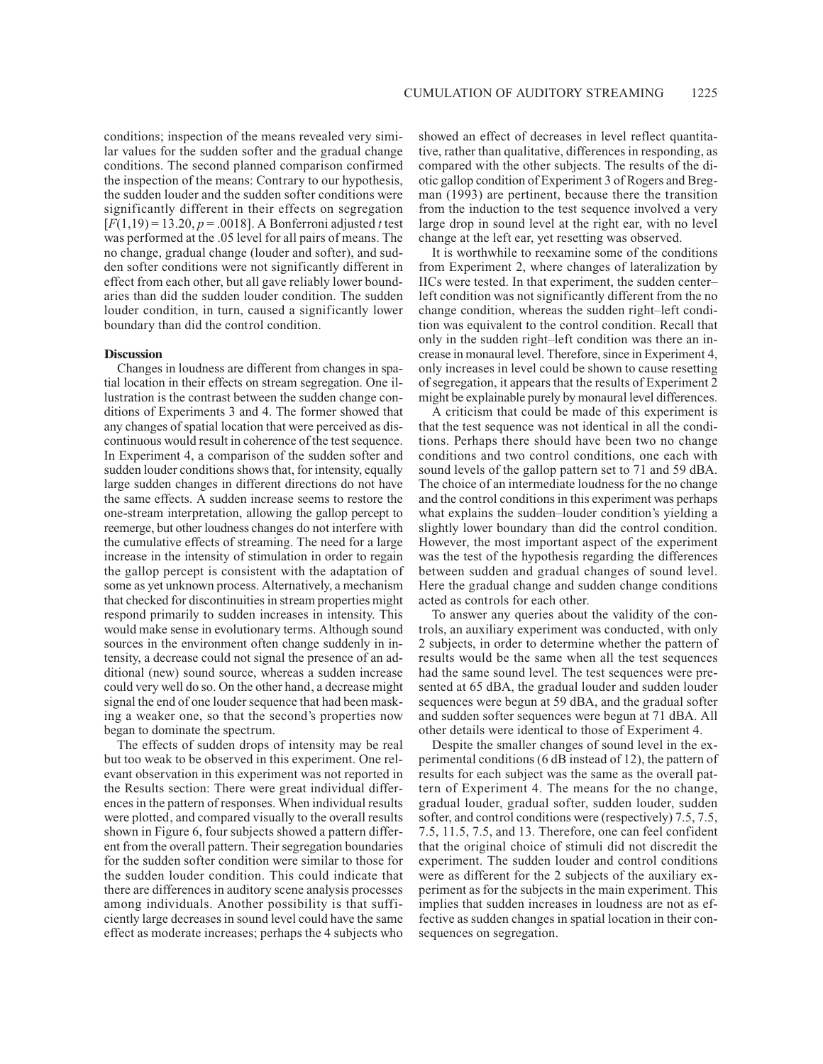conditions; inspection of the means revealed very similar values for the sudden softer and the gradual change conditions. The second planned comparison confirmed the inspection of the means: Contrary to our hypothesis, the sudden louder and the sudden softer conditions were significantly different in their effects on segregation [*F*(1,19) = 13.20, *p* = .0018]. A Bonferroni adjusted *t* test was performed at the .05 level for all pairs of means. The no change, gradual change (louder and softer), and sudden softer conditions were not significantly different in effect from each other, but all gave reliably lower boundaries than did the sudden louder condition. The sudden louder condition, in turn, caused a significantly lower boundary than did the control condition.

## **Discussion**

Changes in loudness are different from changes in spatial location in their effects on stream segregation. One illustration is the contrast between the sudden change conditions of Experiments 3 and 4. The former showed that any changes of spatial location that were perceived as discontinuous would result in coherence of the test sequence. In Experiment 4, a comparison of the sudden softer and sudden louder conditions shows that, for intensity, equally large sudden changes in different directions do not have the same effects. A sudden increase seems to restore the one-stream interpretation, allowing the gallop percept to reemerge, but other loudness changes do not interfere with the cumulative effects of streaming. The need for a large increase in the intensity of stimulation in order to regain the gallop percept is consistent with the adaptation of some as yet unknown process. Alternatively, a mechanism that checked for discontinuities in stream properties might respond primarily to sudden increases in intensity. This would make sense in evolutionary terms. Although sound sources in the environment often change suddenly in intensity, a decrease could not signal the presence of an additional (new) sound source, whereas a sudden increase could very well do so. On the other hand, a decrease might signal the end of one louder sequence that had been masking a weaker one, so that the second's properties now began to dominate the spectrum.

The effects of sudden drops of intensity may be real but too weak to be observed in this experiment. One relevant observation in this experiment was not reported in the Results section: There were great individual differences in the pattern of responses. When individual results were plotted, and compared visually to the overall results shown in Figure 6, four subjects showed a pattern different from the overall pattern. Their segregation boundaries for the sudden softer condition were similar to those for the sudden louder condition. This could indicate that there are differences in auditory scene analysis processes among individuals. Another possibility is that sufficiently large decreases in sound level could have the same effect as moderate increases; perhaps the 4 subjects who

showed an effect of decreases in level reflect quantitative, rather than qualitative, differences in responding, as compared with the other subjects. The results of the diotic gallop condition of Experiment 3 of Rogers and Bregman (1993) are pertinent, because there the transition from the induction to the test sequence involved a very large drop in sound level at the right ear, with no level change at the left ear, yet resetting was observed.

It is worthwhile to reexamine some of the conditions from Experiment 2, where changes of lateralization by IICs were tested. In that experiment, the sudden center– left condition was not significantly different from the no change condition, whereas the sudden right–left condition was equivalent to the control condition. Recall that only in the sudden right–left condition was there an increase in monaural level. Therefore, since in Experiment 4, only increases in level could be shown to cause resetting of segregation, it appears that the results of Experiment 2 might be explainable purely by monaural level differences.

A criticism that could be made of this experiment is that the test sequence was not identical in all the conditions. Perhaps there should have been two no change conditions and two control conditions, one each with sound levels of the gallop pattern set to 71 and 59 dBA. The choice of an intermediate loudness for the no change and the control conditions in this experiment was perhaps what explains the sudden–louder condition's yielding a slightly lower boundary than did the control condition. However, the most important aspect of the experiment was the test of the hypothesis regarding the differences between sudden and gradual changes of sound level. Here the gradual change and sudden change conditions acted as controls for each other.

To answer any queries about the validity of the controls, an auxiliary experiment was conducted, with only 2 subjects, in order to determine whether the pattern of results would be the same when all the test sequences had the same sound level. The test sequences were presented at 65 dBA, the gradual louder and sudden louder sequences were begun at 59 dBA, and the gradual softer and sudden softer sequences were begun at 71 dBA. All other details were identical to those of Experiment 4.

Despite the smaller changes of sound level in the experimental conditions (6 dB instead of 12), the pattern of results for each subject was the same as the overall pattern of Experiment 4. The means for the no change, gradual louder, gradual softer, sudden louder, sudden softer, and control conditions were (respectively) 7.5, 7.5, 7.5, 11.5, 7.5, and 13. Therefore, one can feel confident that the original choice of stimuli did not discredit the experiment. The sudden louder and control conditions were as different for the 2 subjects of the auxiliary experiment as for the subjects in the main experiment. This implies that sudden increases in loudness are not as effective as sudden changes in spatial location in their consequences on segregation.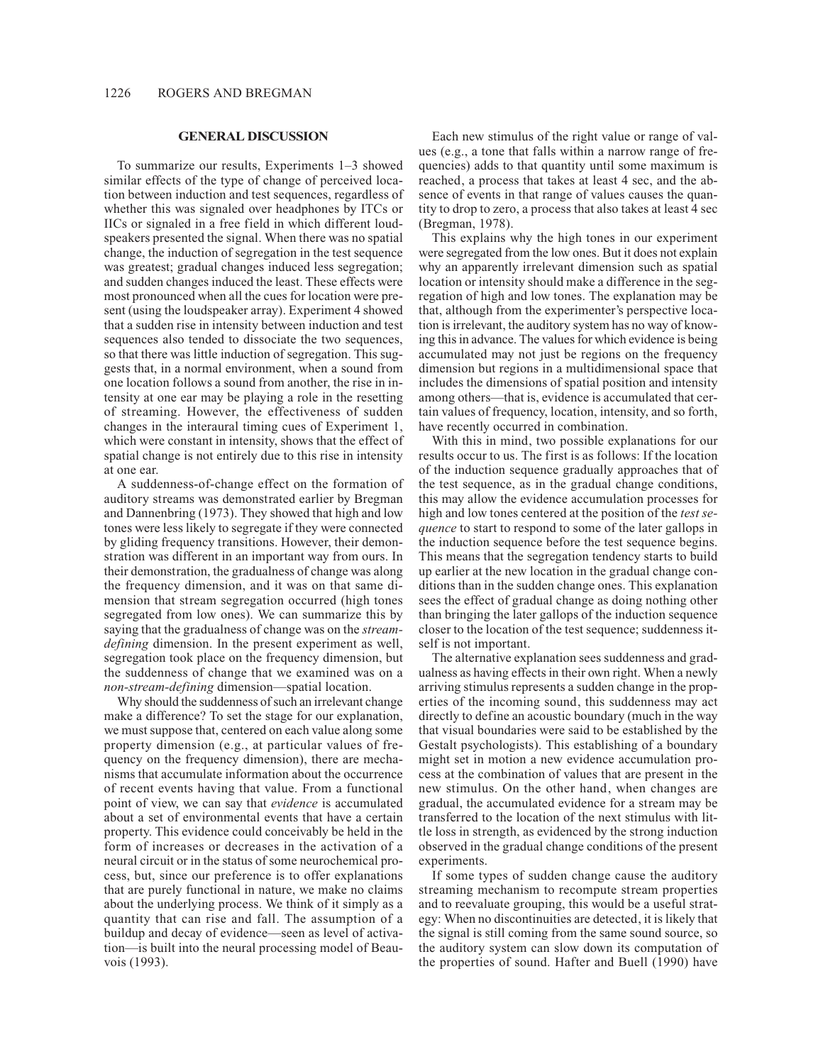## **GENERAL DISCUSSION**

To summarize our results, Experiments 1–3 showed similar effects of the type of change of perceived location between induction and test sequences, regardless of whether this was signaled over headphones by ITCs or IICs or signaled in a free field in which different loudspeakers presented the signal. When there was no spatial change, the induction of segregation in the test sequence was greatest; gradual changes induced less segregation; and sudden changes induced the least. These effects were most pronounced when all the cues for location were present (using the loudspeaker array). Experiment 4 showed that a sudden rise in intensity between induction and test sequences also tended to dissociate the two sequences, so that there was little induction of segregation. This suggests that, in a normal environment, when a sound from one location follows a sound from another, the rise in intensity at one ear may be playing a role in the resetting of streaming. However, the effectiveness of sudden changes in the interaural timing cues of Experiment 1, which were constant in intensity, shows that the effect of spatial change is not entirely due to this rise in intensity at one ear.

A suddenness-of-change effect on the formation of auditory streams was demonstrated earlier by Bregman and Dannenbring (1973). They showed that high and low tones were less likely to segregate if they were connected by gliding frequency transitions. However, their demonstration was different in an important way from ours. In their demonstration, the gradualness of change was along the frequency dimension, and it was on that same dimension that stream segregation occurred (high tones segregated from low ones). We can summarize this by saying that the gradualness of change was on the *streamdefining* dimension. In the present experiment as well, segregation took place on the frequency dimension, but the suddenness of change that we examined was on a *non-stream-defining* dimension—spatial location.

Why should the suddenness of such an irrelevant change make a difference? To set the stage for our explanation, we must suppose that, centered on each value along some property dimension (e.g., at particular values of frequency on the frequency dimension), there are mechanisms that accumulate information about the occurrence of recent events having that value. From a functional point of view, we can say that *evidence* is accumulated about a set of environmental events that have a certain property. This evidence could conceivably be held in the form of increases or decreases in the activation of a neural circuit or in the status of some neurochemical process, but, since our preference is to offer explanations that are purely functional in nature, we make no claims about the underlying process. We think of it simply as a quantity that can rise and fall. The assumption of a buildup and decay of evidence—seen as level of activation—is built into the neural processing model of Beauvois (1993).

Each new stimulus of the right value or range of values (e.g., a tone that falls within a narrow range of frequencies) adds to that quantity until some maximum is reached, a process that takes at least 4 sec, and the absence of events in that range of values causes the quantity to drop to zero, a process that also takes at least 4 sec (Bregman, 1978).

This explains why the high tones in our experiment were segregated from the low ones. But it does not explain why an apparently irrelevant dimension such as spatial location or intensity should make a difference in the segregation of high and low tones. The explanation may be that, although from the experimenter's perspective location is irrelevant, the auditory system has no way of knowing this in advance. The values for which evidence is being accumulated may not just be regions on the frequency dimension but regions in a multidimensional space that includes the dimensions of spatial position and intensity among others—that is, evidence is accumulated that certain values of frequency, location, intensity, and so forth, have recently occurred in combination.

With this in mind, two possible explanations for our results occur to us. The first is as follows: If the location of the induction sequence gradually approaches that of the test sequence, as in the gradual change conditions, this may allow the evidence accumulation processes for high and low tones centered at the position of the *test sequence* to start to respond to some of the later gallops in the induction sequence before the test sequence begins. This means that the segregation tendency starts to build up earlier at the new location in the gradual change conditions than in the sudden change ones. This explanation sees the effect of gradual change as doing nothing other than bringing the later gallops of the induction sequence closer to the location of the test sequence; suddenness itself is not important.

The alternative explanation sees suddenness and gradualness as having effects in their own right. When a newly arriving stimulus represents a sudden change in the properties of the incoming sound, this suddenness may act directly to define an acoustic boundary (much in the way that visual boundaries were said to be established by the Gestalt psychologists). This establishing of a boundary might set in motion a new evidence accumulation process at the combination of values that are present in the new stimulus. On the other hand, when changes are gradual, the accumulated evidence for a stream may be transferred to the location of the next stimulus with little loss in strength, as evidenced by the strong induction observed in the gradual change conditions of the present experiments.

If some types of sudden change cause the auditory streaming mechanism to recompute stream properties and to reevaluate grouping, this would be a useful strategy: When no discontinuities are detected, it is likely that the signal is still coming from the same sound source, so the auditory system can slow down its computation of the properties of sound. Hafter and Buell (1990) have